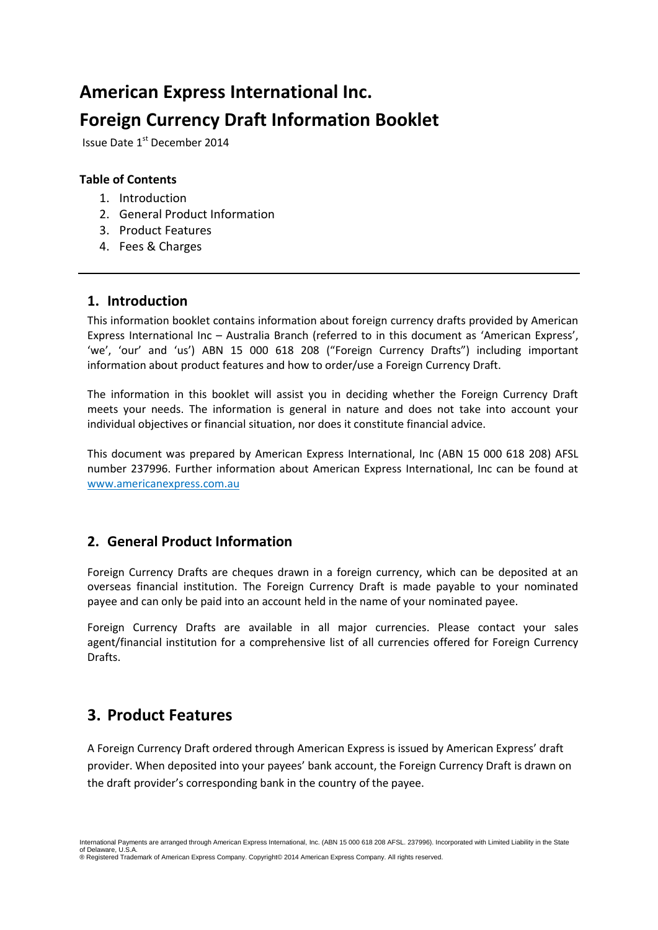# **American Express International Inc. Foreign Currency Draft Information Booklet**

Issue Date 1st December 2014

#### **Table of Contents**

- 1. Introduction
- 2. General Product Information
- 3. Product Features
- 4. Fees & Charges

## **1. Introduction**

This information booklet contains information about foreign currency drafts provided by American Express International Inc – Australia Branch (referred to in this document as 'American Express', 'we', 'our' and 'us') ABN 15 000 618 208 ("Foreign Currency Drafts") including important information about product features and how to order/use a Foreign Currency Draft.

The information in this booklet will assist you in deciding whether the Foreign Currency Draft meets your needs. The information is general in nature and does not take into account your individual objectives or financial situation, nor does it constitute financial advice.

This document was prepared by American Express International, Inc (ABN 15 000 618 208) AFSL number 237996. Further information about American Express International, Inc can be found at [www.americanexpress.com.au](http://www.americanexpress.com.au/)

## **2. General Product Information**

Foreign Currency Drafts are cheques drawn in a foreign currency, which can be deposited at an overseas financial institution. The Foreign Currency Draft is made payable to your nominated payee and can only be paid into an account held in the name of your nominated payee.

Foreign Currency Drafts are available in all major currencies. Please contact your sales agent/financial institution for a comprehensive list of all currencies offered for Foreign Currency Drafts.

## **3. Product Features**

A Foreign Currency Draft ordered through American Express is issued by American Express' draft provider. When deposited into your payees' bank account, the Foreign Currency Draft is drawn on the draft provider's corresponding bank in the country of the payee.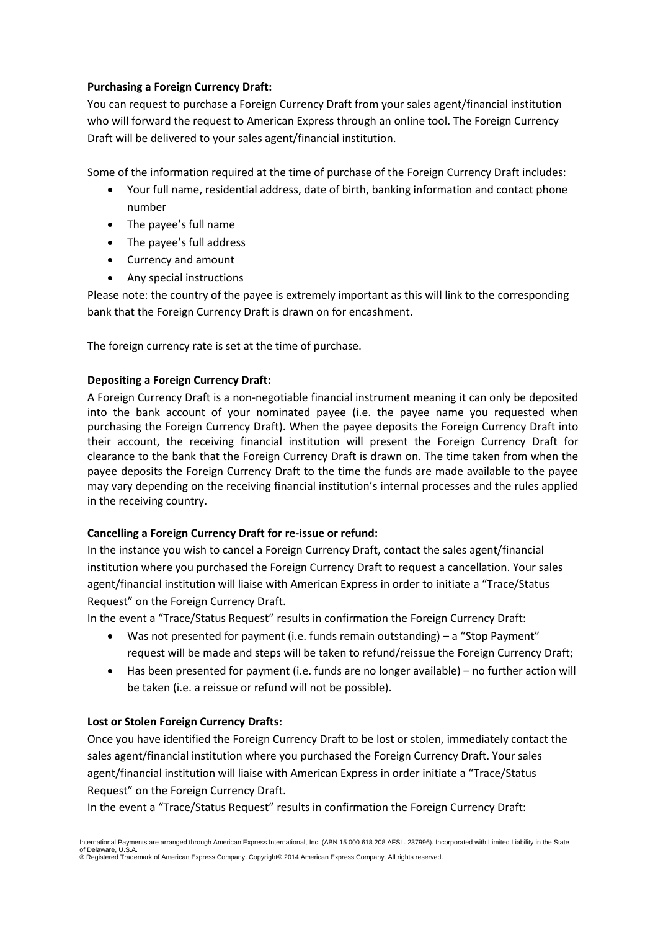#### **Purchasing a Foreign Currency Draft:**

You can request to purchase a Foreign Currency Draft from your sales agent/financial institution who will forward the request to American Express through an online tool. The Foreign Currency Draft will be delivered to your sales agent/financial institution.

Some of the information required at the time of purchase of the Foreign Currency Draft includes:

- Your full name, residential address, date of birth, banking information and contact phone number
- The payee's full name
- The payee's full address
- Currency and amount
- Any special instructions

Please note: the country of the payee is extremely important as this will link to the corresponding bank that the Foreign Currency Draft is drawn on for encashment.

The foreign currency rate is set at the time of purchase.

#### **Depositing a Foreign Currency Draft:**

A Foreign Currency Draft is a non-negotiable financial instrument meaning it can only be deposited into the bank account of your nominated payee (i.e. the payee name you requested when purchasing the Foreign Currency Draft). When the payee deposits the Foreign Currency Draft into their account, the receiving financial institution will present the Foreign Currency Draft for clearance to the bank that the Foreign Currency Draft is drawn on. The time taken from when the payee deposits the Foreign Currency Draft to the time the funds are made available to the payee may vary depending on the receiving financial institution's internal processes and the rules applied in the receiving country.

#### **Cancelling a Foreign Currency Draft for re-issue or refund:**

In the instance you wish to cancel a Foreign Currency Draft, contact the sales agent/financial institution where you purchased the Foreign Currency Draft to request a cancellation. Your sales agent/financial institution will liaise with American Express in order to initiate a "Trace/Status Request" on the Foreign Currency Draft.

In the event a "Trace/Status Request" results in confirmation the Foreign Currency Draft:

- Was not presented for payment (i.e. funds remain outstanding) a "Stop Payment" request will be made and steps will be taken to refund/reissue the Foreign Currency Draft;
- Has been presented for payment (i.e. funds are no longer available) no further action will be taken (i.e. a reissue or refund will not be possible).

#### **Lost or Stolen Foreign Currency Drafts:**

Once you have identified the Foreign Currency Draft to be lost or stolen, immediately contact the sales agent/financial institution where you purchased the Foreign Currency Draft. Your sales agent/financial institution will liaise with American Express in order initiate a "Trace/Status Request" on the Foreign Currency Draft.

In the event a "Trace/Status Request" results in confirmation the Foreign Currency Draft: